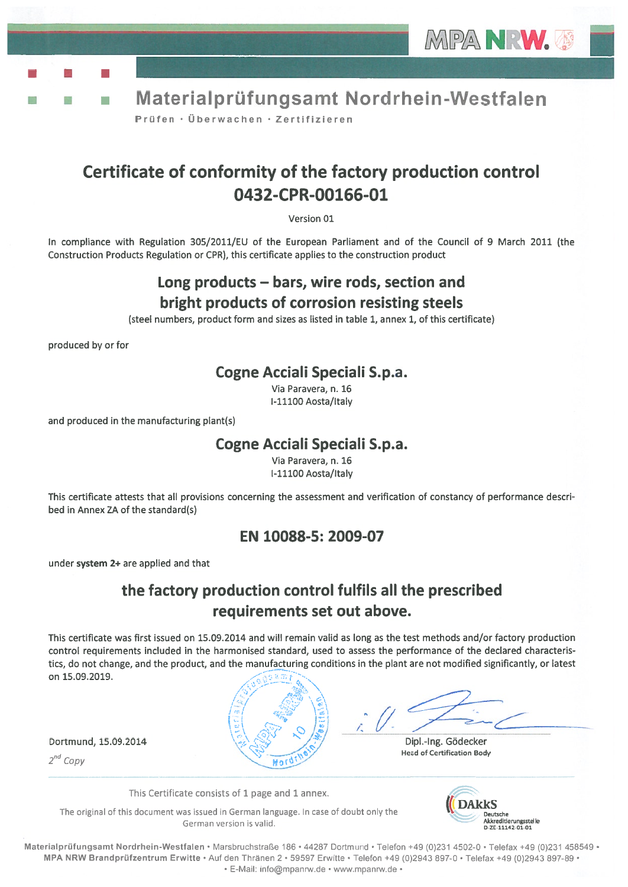

Materialprüfungsamt Nordrhein-Westfalen Prüfen · Überwachen · Zertifizieren

# Certificate of conformity of the factory production control 0432-CPR-00166-O1

Version 01

In compliance with Regulation 305/2011/EU of the European Parliament and of the Council of 9 March 2011 (the Construction Products Regulation or CPR), this certificate applies to the construction product

## Long products — bars, wire rods, section and bright products of corrosion resisting steels

(steel numbers, product form and sizes as listed in table 1, annex 1, of this certificate)

produced by or for

### Cogne Acciali Speciali S.p.a.

Via Paravera, n. 16 1-11100 Aosta/Italy

and produced in the manufacturing plant(s)

### Cogne Acciali Speciali S.p.a.

Via Paravera, n. 16 1-11100 Aosta/ltaly

This certificate attests that all provisions concerning the assessment and verification of constancy of performance descri bed in Annex ZA of the standard(s)

### EN 10088-5: 2009-07

under system 2+ are applied and that

## the factory production control fulfils all the prescribed requirements set out above.

This certificate was first issued on 15.09.2014 and wiII remain valid as Iong as the test methods and/or factory production control requirements included in the harmonised standard, used to assess the performance of the declared characteris tics, do not change, and the product, and the manufacturing conditions in the plant are not modified significantly, or Iatest on 15.09.2019. MPA NRW.<br>
Trifungsamt Nordrhein-Westfalen<br>
City of the factory production control<br>
Vet of the factory and the Council of 9 March 2011 (the<br>
Vet of the European Parliament and of the Council of 9 March 2011 (the<br>
discretifi

 $2^{nd}$  Copy

**Not** 

Dortmund, 15.09.2014  $\left(\frac{1}{2}, \frac{1}{2}\right)$  ,  $\left(\frac{1}{2}, \frac{1}{2}\right)$  Dipl.-Ing. Gödecker \. Head of Certification Body

This Certificate consists of 1 page and 1 annex.

The original of this document was issued in German language. In case of doubt only the German version is valid.



Materialprüfungsamt Nordrhein-Westfalen • Marsbruchstraße 186 • 44287 Dortmund • Telefon +49 (0)231 4502-0 • Telefax +49 (0)231 458549 • MPA NRW Brandprüfzentrum Erwitte · Auf den Thränen 2 · 59597 Erwitte · Telefon +49 (0)2943 897-0 · Telefax +49 (0)2943 897-89 · E-Mail: info@mpanrw.de www.mpanrw.de•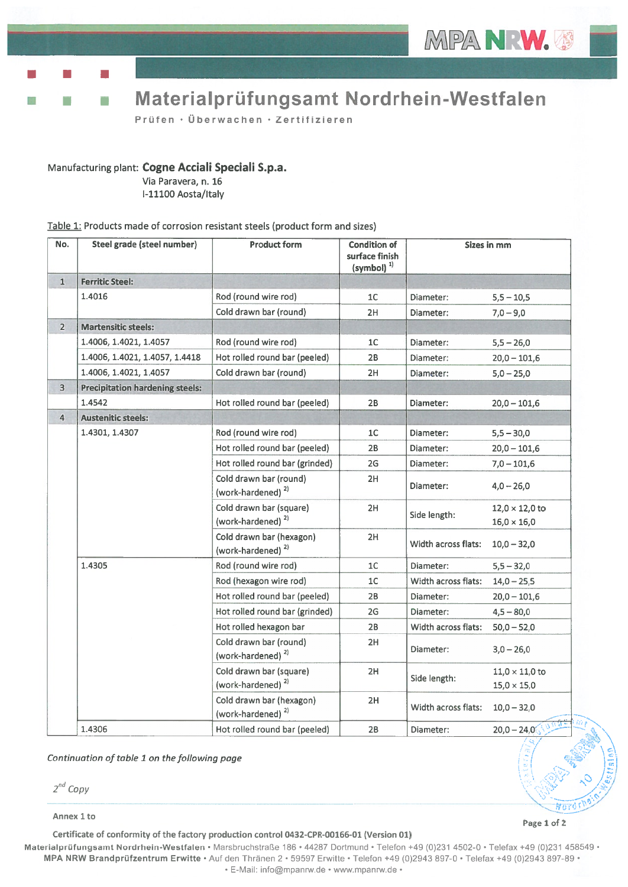**Figure 1999** 

# • Materialprùfungsamt Nordrhein-Westfalen

Prüfen · Überwachen · Zertifizieren

#### Manufacturing <sup>p</sup>lant: Cogne Acciali Speciali S.p.a.

Via Paravera, n. 16 1-11100 Aosta/Italy

#### Table 1: Products made of corrosion resistant steels (product form and sizes)

| No.            | Steel grade (steel number)             | <b>Product form</b>                                       | <b>Condition of</b><br>surface finish<br>$(symbol)^{1}$ | <b>Sizes in mm</b>  |                                             |
|----------------|----------------------------------------|-----------------------------------------------------------|---------------------------------------------------------|---------------------|---------------------------------------------|
| $\mathbf{1}$   | <b>Ferritic Steel:</b>                 |                                                           |                                                         |                     |                                             |
|                | 1.4016                                 | Rod (round wire rod)                                      | 1 <sup>C</sup>                                          | Diameter:           | $5,5 - 10,5$                                |
|                |                                        | Cold drawn bar (round)                                    | 2H                                                      | Diameter:           | $7,0 - 9,0$                                 |
| $2^{\circ}$    | <b>Martensitic steels:</b>             |                                                           |                                                         |                     |                                             |
|                | 1.4006, 1.4021, 1.4057                 | Rod (round wire rod)                                      | 1 <sup>C</sup>                                          | Diameter:           | $5,5 - 26,0$                                |
|                | 1.4006, 1.4021, 1.4057, 1.4418         | Hot rolled round bar (peeled)                             | 2В                                                      | Diameter:           | $20,0 - 101,6$                              |
|                | 1.4006, 1.4021, 1.4057                 | Cold drawn bar (round)                                    | 2H                                                      | Diameter:           | $5,0 - 25,0$                                |
| 3              | <b>Precipitation hardening steels:</b> |                                                           |                                                         |                     |                                             |
|                | 1.4542                                 | Hot rolled round bar (peeled)                             | 2B                                                      | Diameter:           | $20,0 - 101,6$                              |
| $\overline{4}$ | <b>Austenitic steels:</b>              |                                                           |                                                         |                     |                                             |
|                | 1.4301, 1.4307                         | Rod (round wire rod)                                      | 1 <sup>C</sup>                                          | Diameter:           | $5,5 - 30,0$                                |
|                |                                        | Hot rolled round bar (peeled)                             | 2B                                                      | Diameter:           | $20,0 - 101,6$                              |
|                |                                        | Hot rolled round bar (grinded)                            | 2G                                                      | Diameter:           | $7,0 - 101,6$                               |
|                |                                        | Cold drawn bar (round)<br>(work-hardened) <sup>2)</sup>   | 2H                                                      | Diameter:           | $4,0 - 26,0$                                |
|                |                                        | Cold drawn bar (square)<br>(work-hardened) <sup>2)</sup>  | 2H                                                      | Side length:        | $12,0 \times 12,0$ to<br>$16,0 \times 16,0$ |
|                |                                        | Cold drawn bar (hexagon)<br>(work-hardened) <sup>2)</sup> | 2H                                                      | Width across flats: | $10,0 - 32,0$                               |
|                | 1.4305                                 | Rod (round wire rod)                                      | 1C                                                      | Diameter:           | $5,5 - 32,0$                                |
|                |                                        | Rod (hexagon wire rod)                                    | 1 <sup>C</sup>                                          | Width across flats: | $14,0 - 25,5$                               |
|                |                                        | Hot rolled round bar (peeled)                             | 2В                                                      | Diameter:           | $20,0 - 101,6$                              |
|                |                                        | Hot rolled round bar (grinded)                            | 2G                                                      | Diameter:           | $4,5 - 80,0$                                |
|                |                                        | Hot rolled hexagon bar                                    | 2B                                                      | Width across flats: | $50,0 - 52,0$                               |
|                |                                        | Cold drawn bar (round)<br>(work-hardened) <sup>2)</sup>   | 2H                                                      | Diameter:           | $3,0 - 26,0$                                |
|                |                                        | Cold drawn bar (square)<br>(work-hardened) $2$            | 2H                                                      | Side length:        | $11,0 \times 11,0$ to<br>$15,0 \times 15,0$ |
|                |                                        | Cold drawn bar (hexagon)<br>(work-hardened) <sup>2)</sup> | 2H                                                      | Width across flats: | $10,0 - 32,0$                               |
|                | 1.4306                                 | Hot rolled round bar (peeled)                             | 2B                                                      | Diameter:           | $20,0 - 24,0$                               |

Continuation of table 1 on the following page

Annex 1 to

Certificate of conformity of the factory production control 0432-CPR-00166-01 (Version 01)

Page 1 of 2

Materialprüfungsamt Nordrhein-Westfalen · Marsbruchstraße 186 · 44287 Dortmund · Telefon +49 (0)231 4502-0 · Telefax +49 (0)231 458549 · MPA NRW Brandprüfzentrum Erwitte · Auf den Thränen 2 · 59597 Erwitte · Telefon +49 (0)2943 897-0 · Telefax +49 (0)2943 897-89 · E-Mail: nfo@mpanrw.de www.mpanrw.de•